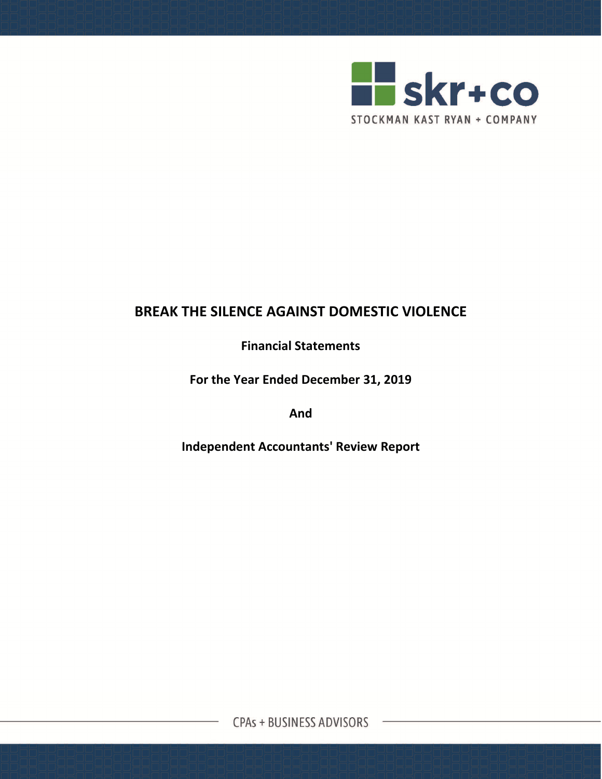

**Financial Statements**

**For the Year Ended December 31, 2019**

**And**

**Independent Accountants' Review Report**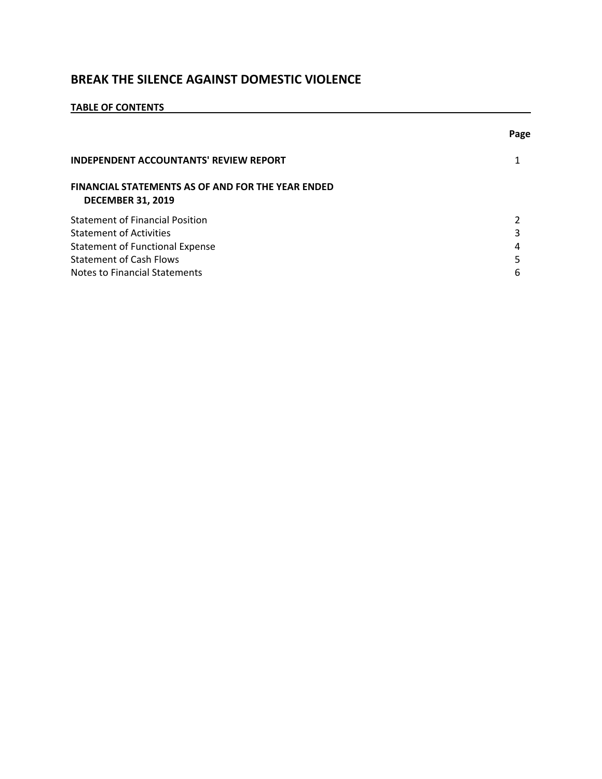## **TABLE OF CONTENTS**

|                                                                                      | Page |
|--------------------------------------------------------------------------------------|------|
| <b>INDEPENDENT ACCOUNTANTS' REVIEW REPORT</b>                                        |      |
| <b>FINANCIAL STATEMENTS AS OF AND FOR THE YEAR ENDED</b><br><b>DECEMBER 31, 2019</b> |      |
| <b>Statement of Financial Position</b>                                               |      |
| <b>Statement of Activities</b>                                                       |      |
| <b>Statement of Functional Expense</b>                                               | 4    |
| <b>Statement of Cash Flows</b>                                                       |      |
| Notes to Financial Statements                                                        | 6    |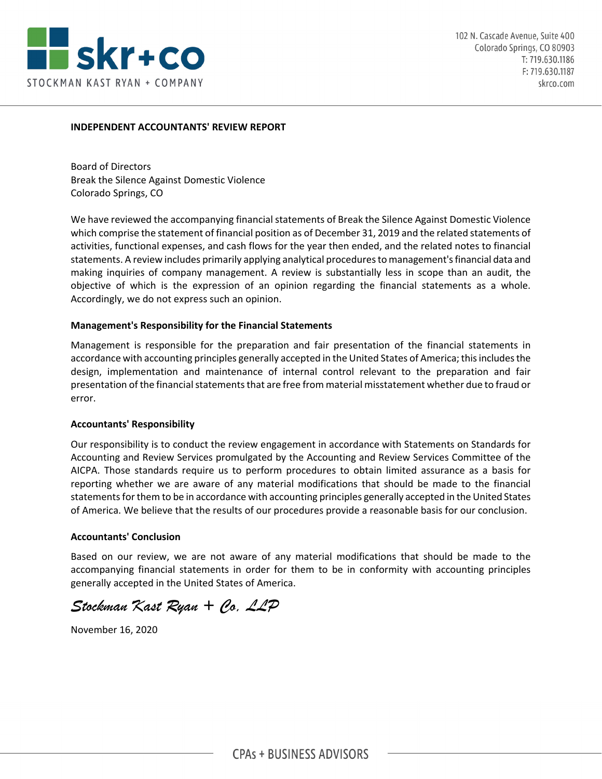

#### **INDEPENDENT ACCOUNTANTS' REVIEW REPORT**

Board of Directors Break the Silence Against Domestic Violence Colorado Springs, CO

We have reviewed the accompanying financial statements of Break the Silence Against Domestic Violence which comprise the statement of financial position as of December 31, 2019 and the related statements of activities, functional expenses, and cash flows for the year then ended, and the related notes to financial statements. A review includes primarily applying analytical proceduresto management'sfinancial data and making inquiries of company management. A review is substantially less in scope than an audit, the objective of which is the expression of an opinion regarding the financial statements as a whole. Accordingly, we do not express such an opinion.

#### **Management's Responsibility for the Financial Statements**

Management is responsible for the preparation and fair presentation of the financial statements in accordance with accounting principles generally accepted in the United States of America; this includes the design, implementation and maintenance of internal control relevant to the preparation and fair presentation of the financial statements that are free from material misstatement whether due to fraud or error.

#### **Accountants' Responsibility**

Our responsibility is to conduct the review engagement in accordance with Statements on Standards for Accounting and Review Services promulgated by the Accounting and Review Services Committee of the AICPA. Those standards require us to perform procedures to obtain limited assurance as a basis for reporting whether we are aware of any material modifications that should be made to the financial statements for them to be in accordance with accounting principles generally accepted in the United States of America. We believe that the results of our procedures provide a reasonable basis for our conclusion.

#### **Accountants' Conclusion**

Based on our review, we are not aware of any material modifications that should be made to the accompanying financial statements in order for them to be in conformity with accounting principles generally accepted in the United States of America.

*Stockman Kast Ryan + Co, LLP* 

November 16, 2020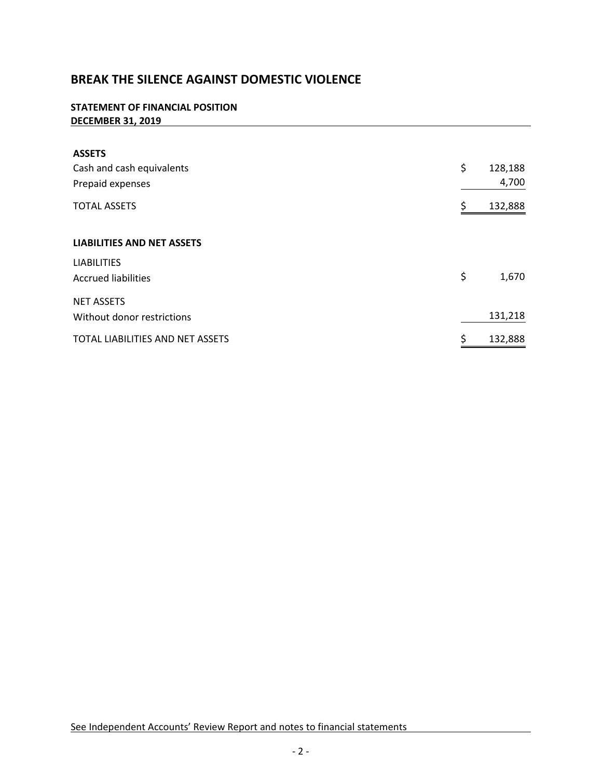### **STATEMENT OF FINANCIAL POSITION DECEMBER 31, 2019**

| <b>ASSETS</b>                     |               |
|-----------------------------------|---------------|
| Cash and cash equivalents         | \$<br>128,188 |
| Prepaid expenses                  | 4,700         |
| <b>TOTAL ASSETS</b>               | \$<br>132,888 |
| <b>LIABILITIES AND NET ASSETS</b> |               |
| <b>LIABILITIES</b>                |               |
| <b>Accrued liabilities</b>        | \$<br>1,670   |
| <b>NET ASSETS</b>                 |               |
| Without donor restrictions        | 131,218       |
| TOTAL LIABILITIES AND NET ASSETS  | \$<br>132,888 |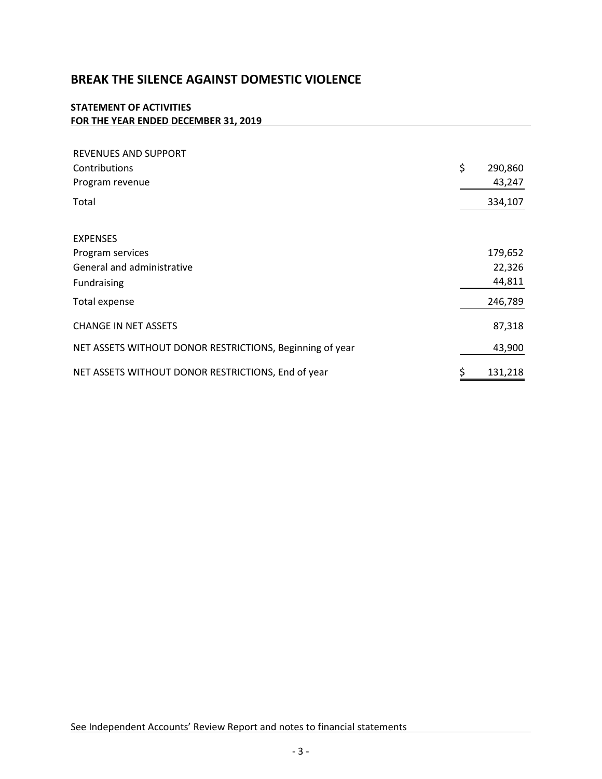## **STATEMENT OF ACTIVITIES FOR THE YEAR ENDED DECEMBER 31, 2019**

| <b>REVENUES AND SUPPORT</b><br>Contributions<br>Program revenue | \$<br>290,860<br>43,247 |
|-----------------------------------------------------------------|-------------------------|
| Total                                                           | 334,107                 |
| <b>EXPENSES</b>                                                 |                         |
| Program services                                                | 179,652                 |
| General and administrative                                      | 22,326                  |
| Fundraising                                                     | 44,811                  |
| Total expense                                                   | 246,789                 |
| <b>CHANGE IN NET ASSETS</b>                                     | 87,318                  |
| NET ASSETS WITHOUT DONOR RESTRICTIONS, Beginning of year        | 43,900                  |
| NET ASSETS WITHOUT DONOR RESTRICTIONS, End of year              | \$<br>131,218           |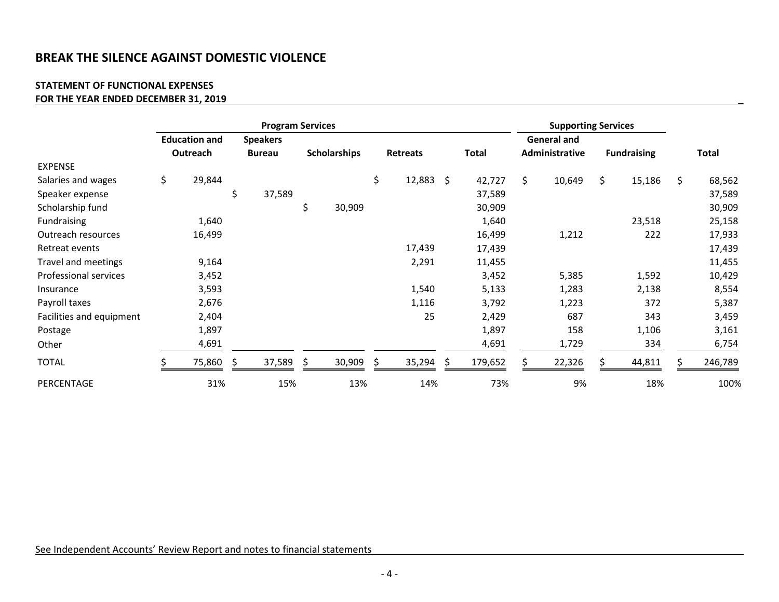#### **STATEMENT OF FUNCTIONAL EXPENSES FOR THE YEAR ENDED DECEMBER 31, 2019 \_**

|                          | <b>Program Services</b> |          |    |                 |     |                     |    |                 |  | <b>Supporting Services</b> |    |                    |    |                    |              |
|--------------------------|-------------------------|----------|----|-----------------|-----|---------------------|----|-----------------|--|----------------------------|----|--------------------|----|--------------------|--------------|
|                          | <b>Education and</b>    |          |    | <b>Speakers</b> |     |                     |    |                 |  |                            |    | <b>General and</b> |    |                    |              |
|                          |                         | Outreach |    | <b>Bureau</b>   |     | <b>Scholarships</b> |    | <b>Retreats</b> |  | <b>Total</b>               |    | Administrative     |    | <b>Fundraising</b> | <b>Total</b> |
| <b>EXPENSE</b>           |                         |          |    |                 |     |                     |    |                 |  |                            |    |                    |    |                    |              |
| Salaries and wages       | \$                      | 29,844   |    |                 |     |                     | \$ | $12,883$ \$     |  | 42,727                     | \$ | 10,649             | \$ | 15,186             | \$<br>68,562 |
| Speaker expense          |                         |          | \$ | 37,589          |     |                     |    |                 |  | 37,589                     |    |                    |    |                    | 37,589       |
| Scholarship fund         |                         |          |    |                 | \$  | 30,909              |    |                 |  | 30,909                     |    |                    |    |                    | 30,909       |
| Fundraising              |                         | 1,640    |    |                 |     |                     |    |                 |  | 1,640                      |    |                    |    | 23,518             | 25,158       |
| Outreach resources       |                         | 16,499   |    |                 |     |                     |    |                 |  | 16,499                     |    | 1,212              |    | 222                | 17,933       |
| Retreat events           |                         |          |    |                 |     |                     |    | 17,439          |  | 17,439                     |    |                    |    |                    | 17,439       |
| Travel and meetings      |                         | 9,164    |    |                 |     |                     |    | 2,291           |  | 11,455                     |    |                    |    |                    | 11,455       |
| Professional services    |                         | 3,452    |    |                 |     |                     |    |                 |  | 3,452                      |    | 5,385              |    | 1,592              | 10,429       |
| Insurance                |                         | 3,593    |    |                 |     |                     |    | 1,540           |  | 5,133                      |    | 1,283              |    | 2,138              | 8,554        |
| Payroll taxes            |                         | 2,676    |    |                 |     |                     |    | 1,116           |  | 3,792                      |    | 1,223              |    | 372                | 5,387        |
| Facilities and equipment |                         | 2,404    |    |                 |     |                     |    | 25              |  | 2,429                      |    | 687                |    | 343                | 3,459        |
| Postage                  |                         | 1,897    |    |                 |     |                     |    |                 |  | 1,897                      |    | 158                |    | 1,106              | 3,161        |
| Other                    |                         | 4,691    |    |                 |     |                     |    |                 |  | 4,691                      |    | 1,729              |    | 334                | 6,754        |
| <b>TOTAL</b>             |                         | 75,860   | S  | 37,589          | \$. | 30,909              |    | 35,294          |  | 179,652                    |    | 22,326             |    | 44,811             | 246,789      |
| PERCENTAGE               |                         | 31%      |    | 15%             |     | 13%                 |    | 14%             |  | 73%                        |    | 9%                 |    | 18%                | 100%         |

See Independent Accounts' Review Report and notes to financial statements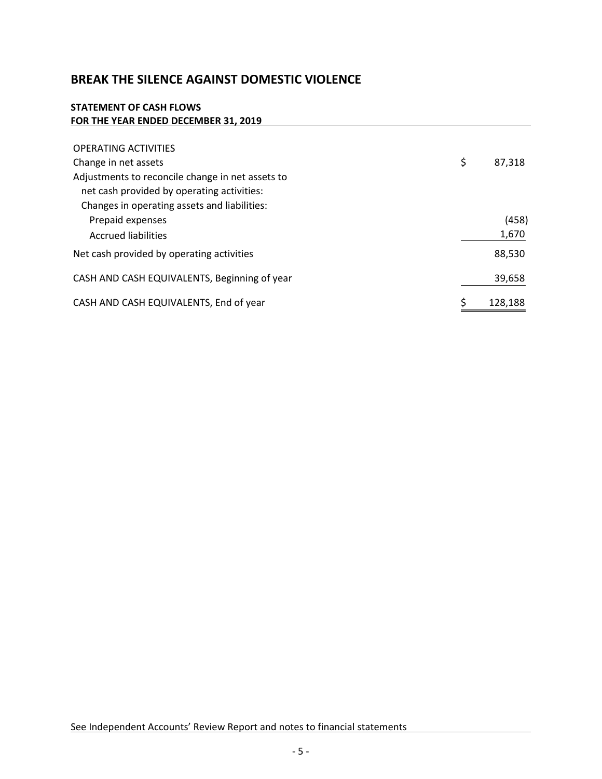### **STATEMENT OF CASH FLOWS FOR THE YEAR ENDED DECEMBER 31, 2019**

| <b>OPERATING ACTIVITIES</b>                      |              |
|--------------------------------------------------|--------------|
| Change in net assets                             | \$<br>87,318 |
| Adjustments to reconcile change in net assets to |              |
| net cash provided by operating activities:       |              |
| Changes in operating assets and liabilities:     |              |
| Prepaid expenses                                 | (458)        |
| <b>Accrued liabilities</b>                       | 1,670        |
| Net cash provided by operating activities        | 88,530       |
| CASH AND CASH EQUIVALENTS, Beginning of year     | 39,658       |
| CASH AND CASH EQUIVALENTS, End of year           | 128,188      |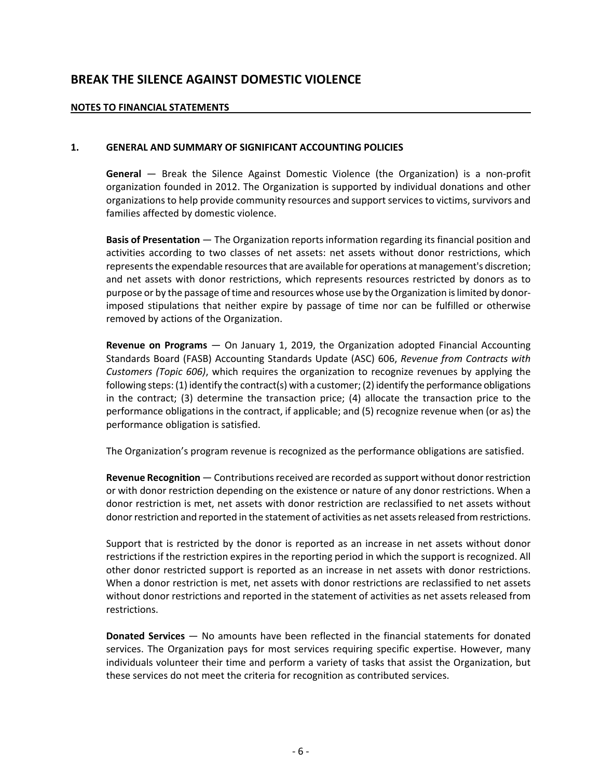### **NOTES TO FINANCIAL STATEMENTS**

### **1. GENERAL AND SUMMARY OF SIGNIFICANT ACCOUNTING POLICIES**

**General** — Break the Silence Against Domestic Violence (the Organization) is a non‐profit organization founded in 2012. The Organization is supported by individual donations and other organizations to help provide community resources and support services to victims, survivors and families affected by domestic violence.

**Basis of Presentation** — The Organization reports information regarding its financial position and activities according to two classes of net assets: net assets without donor restrictions, which represents the expendable resources that are available for operations at management's discretion; and net assets with donor restrictions, which represents resources restricted by donors as to purpose or by the passage of time and resources whose use by the Organization is limited by donorimposed stipulations that neither expire by passage of time nor can be fulfilled or otherwise removed by actions of the Organization.

**Revenue on Programs** — On January 1, 2019, the Organization adopted Financial Accounting Standards Board (FASB) Accounting Standards Update (ASC) 606, *Revenue from Contracts with Customers (Topic 606)*, which requires the organization to recognize revenues by applying the following steps: (1) identify the contract(s) with a customer; (2) identify the performance obligations in the contract; (3) determine the transaction price; (4) allocate the transaction price to the performance obligations in the contract, if applicable; and (5) recognize revenue when (or as) the performance obligation is satisfied.

The Organization's program revenue is recognized as the performance obligations are satisfied.

**Revenue Recognition** — Contributions received are recorded as support without donor restriction or with donor restriction depending on the existence or nature of any donor restrictions. When a donor restriction is met, net assets with donor restriction are reclassified to net assets without donor restriction and reported in the statement of activities as net assets released from restrictions.

Support that is restricted by the donor is reported as an increase in net assets without donor restrictions if the restriction expires in the reporting period in which the support is recognized. All other donor restricted support is reported as an increase in net assets with donor restrictions. When a donor restriction is met, net assets with donor restrictions are reclassified to net assets without donor restrictions and reported in the statement of activities as net assets released from restrictions.

**Donated Services** — No amounts have been reflected in the financial statements for donated services. The Organization pays for most services requiring specific expertise. However, many individuals volunteer their time and perform a variety of tasks that assist the Organization, but these services do not meet the criteria for recognition as contributed services.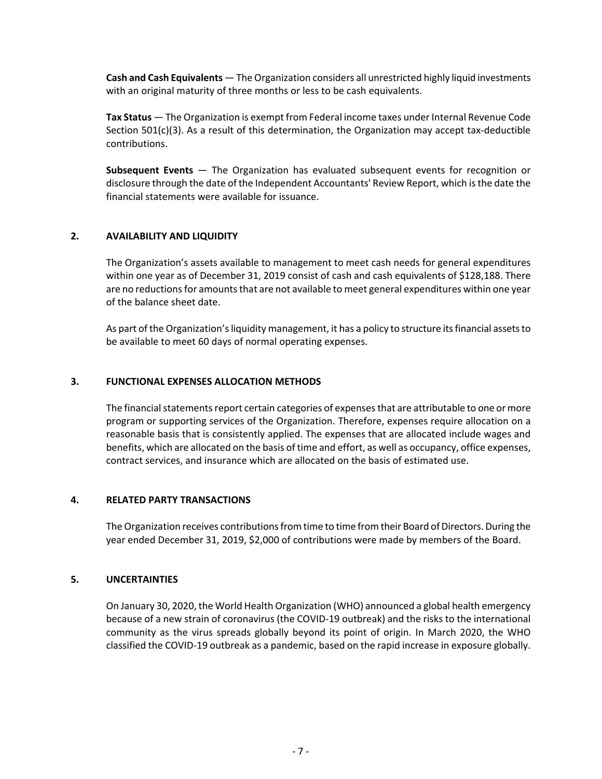**Cash and Cash Equivalents** — The Organization considers all unrestricted highly liquid investments with an original maturity of three months or less to be cash equivalents.

**Tax Status** — The Organization is exempt from Federal income taxes under Internal Revenue Code Section  $501(c)(3)$ . As a result of this determination, the Organization may accept tax-deductible contributions.

**Subsequent Events** — The Organization has evaluated subsequent events for recognition or disclosure through the date of the Independent Accountants' Review Report, which isthe date the financial statements were available for issuance.

### **2. AVAILABILITY AND LIQUIDITY**

The Organization's assets available to management to meet cash needs for general expenditures within one year as of December 31, 2019 consist of cash and cash equivalents of \$128,188. There are no reductions for amounts that are not available to meet general expenditures within one year of the balance sheet date.

As part of the Organization's liquidity management, it has a policy to structure its financial assets to be available to meet 60 days of normal operating expenses.

#### **3. FUNCTIONAL EXPENSES ALLOCATION METHODS**

The financial statements report certain categories of expenses that are attributable to one or more program or supporting services of the Organization. Therefore, expenses require allocation on a reasonable basis that is consistently applied. The expenses that are allocated include wages and benefits, which are allocated on the basis of time and effort, as well as occupancy, office expenses, contract services, and insurance which are allocated on the basis of estimated use.

#### **4. RELATED PARTY TRANSACTIONS**

The Organization receives contributions from time to time from their Board of Directors. During the year ended December 31, 2019, \$2,000 of contributions were made by members of the Board.

#### **5. UNCERTAINTIES**

On January 30, 2020, the World Health Organization (WHO) announced a global health emergency because of a new strain of coronavirus (the COVID‐19 outbreak) and the risks to the international community as the virus spreads globally beyond its point of origin. In March 2020, the WHO classified the COVID‐19 outbreak as a pandemic, based on the rapid increase in exposure globally.